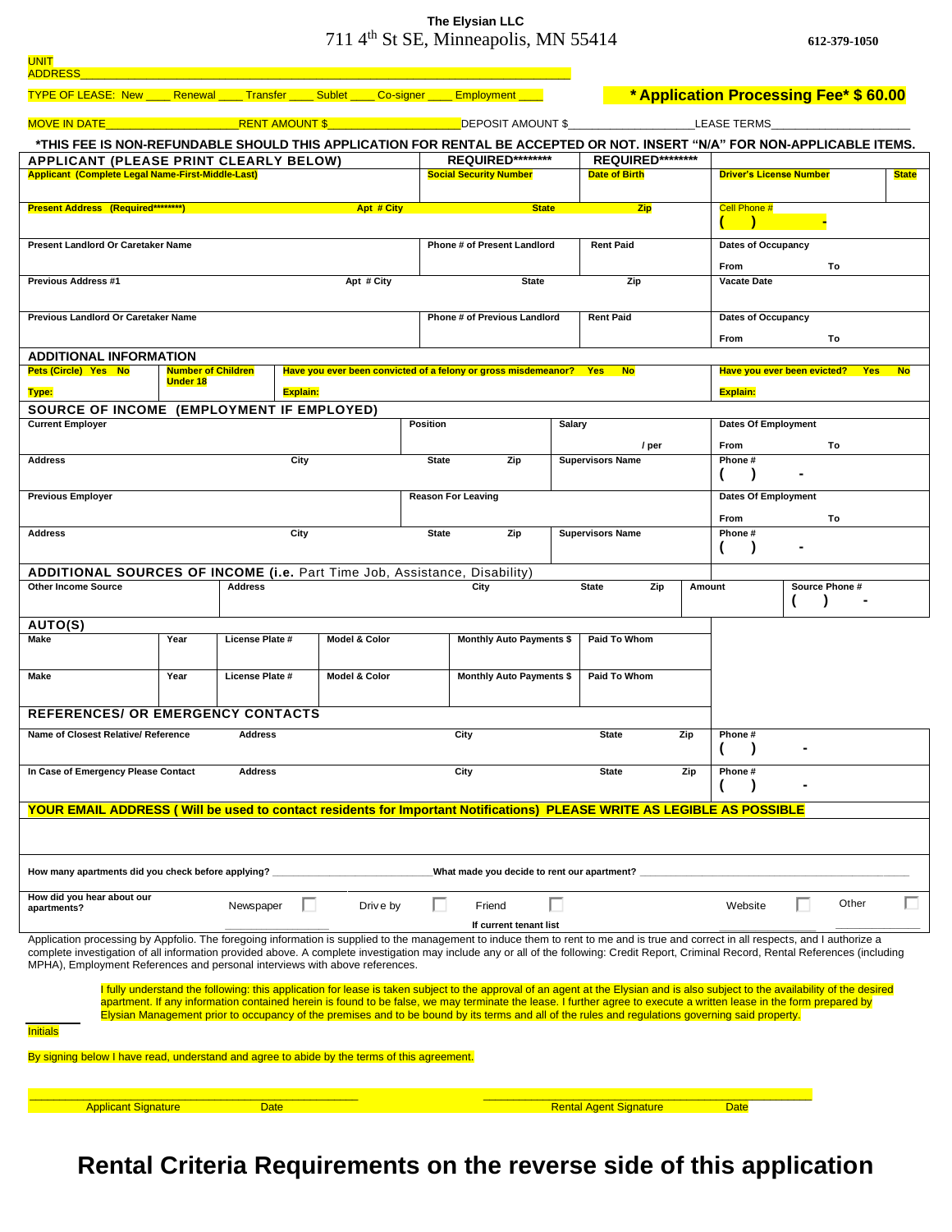## **The Elysian LLC** 711 4th St SE, Minneapolis, MN 55414 **612-379-1050**

| <b>UNIT</b><br><b>ADDRESS</b>                                                                                                                                                                                                                                           |                                                              |                                         |                                                                    |             |                                          |                                                                                                                                                                                                                                                                                                                         |                                  |                               |                                |                                        |  |                |   |
|-------------------------------------------------------------------------------------------------------------------------------------------------------------------------------------------------------------------------------------------------------------------------|--------------------------------------------------------------|-----------------------------------------|--------------------------------------------------------------------|-------------|------------------------------------------|-------------------------------------------------------------------------------------------------------------------------------------------------------------------------------------------------------------------------------------------------------------------------------------------------------------------------|----------------------------------|-------------------------------|--------------------------------|----------------------------------------|--|----------------|---|
| <b>TYPE OF LEASE: New Renewal Transfer Sublet Co-signer Employment</b>                                                                                                                                                                                                  |                                                              |                                         |                                                                    |             |                                          |                                                                                                                                                                                                                                                                                                                         |                                  |                               |                                | * Application Processing Fee* \$ 60.00 |  |                |   |
| <b>MOVE IN DATE AND RESIDENCE</b>                                                                                                                                                                                                                                       |                                                              | <b>RENT AMOUNT \$</b> DEPOSIT AMOUNT \$ |                                                                    | LEASE TERMS |                                          |                                                                                                                                                                                                                                                                                                                         |                                  |                               |                                |                                        |  |                |   |
| *THIS FEE IS NON-REFUNDABLE SHOULD THIS APPLICATION FOR RENTAL BE ACCEPTED OR NOT. INSERT "N/A" FOR NON-APPLICABLE ITEMS.                                                                                                                                               |                                                              |                                         |                                                                    |             |                                          |                                                                                                                                                                                                                                                                                                                         |                                  |                               |                                |                                        |  |                |   |
| <b>APPLICANT (PLEASE PRINT CLEARLY BELOW)</b>                                                                                                                                                                                                                           |                                                              |                                         |                                                                    |             |                                          | REQUIRED********                                                                                                                                                                                                                                                                                                        |                                  | <b>REQUIRED********</b>       |                                |                                        |  |                |   |
| <b>Applicant (Complete Legal Name-First-Middle-Last)</b>                                                                                                                                                                                                                |                                                              |                                         |                                                                    |             |                                          | <b>Social Security Number</b>                                                                                                                                                                                                                                                                                           |                                  | <b>Date of Birth</b>          | <b>Driver's License Number</b> |                                        |  | <b>State</b>   |   |
| <b>Present Address (Required********)</b><br>Apt # City                                                                                                                                                                                                                 |                                                              |                                         |                                                                    |             |                                          | <b>State</b>                                                                                                                                                                                                                                                                                                            | <b>Zip</b><br>Cell Phone #       |                               |                                |                                        |  |                |   |
|                                                                                                                                                                                                                                                                         |                                                              |                                         |                                                                    |             |                                          |                                                                                                                                                                                                                                                                                                                         |                                  |                               |                                |                                        |  |                |   |
| Present Landlord Or Caretaker Name                                                                                                                                                                                                                                      |                                                              |                                         |                                                                    |             | <b>Phone # of Present Landlord</b>       |                                                                                                                                                                                                                                                                                                                         |                                  | <b>Rent Paid</b>              |                                | Dates of Occupancy                     |  |                |   |
| <b>Previous Address #1</b>                                                                                                                                                                                                                                              | Apt # City                                                   |                                         | <b>State</b>                                                       |             | Zip                                      |                                                                                                                                                                                                                                                                                                                         | From<br>To<br><b>Vacate Date</b> |                               |                                |                                        |  |                |   |
|                                                                                                                                                                                                                                                                         |                                                              |                                         |                                                                    |             |                                          |                                                                                                                                                                                                                                                                                                                         |                                  |                               |                                |                                        |  |                |   |
| Previous Landlord Or Caretaker Name                                                                                                                                                                                                                                     | <b>Phone # of Previous Landlord</b><br><b>Rent Paid</b>      |                                         |                                                                    |             |                                          |                                                                                                                                                                                                                                                                                                                         | Dates of Occupancy               |                               |                                |                                        |  |                |   |
|                                                                                                                                                                                                                                                                         |                                                              |                                         |                                                                    |             |                                          |                                                                                                                                                                                                                                                                                                                         |                                  |                               | From                           |                                        |  | To             |   |
| <b>ADDITIONAL INFORMATION</b>                                                                                                                                                                                                                                           |                                                              |                                         |                                                                    |             |                                          |                                                                                                                                                                                                                                                                                                                         |                                  |                               |                                |                                        |  |                |   |
| Pets (Circle) Yes No                                                                                                                                                                                                                                                    | <b>Number of Children</b>                                    |                                         | Have you ever been convicted of a felony or gross misdemeanor? Yes |             | <b>No</b><br>Have you ever been evicted? |                                                                                                                                                                                                                                                                                                                         |                                  |                               | <b>Yes</b>                     | <b>No</b>                              |  |                |   |
| Type:                                                                                                                                                                                                                                                                   | <b>Explain:</b><br>SOURCE OF INCOME (EMPLOYMENT IF EMPLOYED) |                                         |                                                                    |             |                                          |                                                                                                                                                                                                                                                                                                                         |                                  |                               |                                | <b>Explain:</b>                        |  |                |   |
| <b>Current Employer</b>                                                                                                                                                                                                                                                 |                                                              |                                         |                                                                    |             | Position                                 |                                                                                                                                                                                                                                                                                                                         | Salary                           |                               | <b>Dates Of Employment</b>     |                                        |  |                |   |
|                                                                                                                                                                                                                                                                         |                                                              |                                         |                                                                    |             |                                          |                                                                                                                                                                                                                                                                                                                         |                                  | / per                         |                                | From                                   |  | To             |   |
| <b>Address</b>                                                                                                                                                                                                                                                          |                                                              |                                         | City                                                               |             | <b>State</b>                             | Zip                                                                                                                                                                                                                                                                                                                     |                                  | <b>Supervisors Name</b>       |                                | Phone#                                 |  |                |   |
|                                                                                                                                                                                                                                                                         |                                                              |                                         |                                                                    |             |                                          |                                                                                                                                                                                                                                                                                                                         |                                  |                               |                                |                                        |  |                |   |
| <b>Previous Employer</b>                                                                                                                                                                                                                                                | <b>Reason For Leaving</b>                                    |                                         |                                                                    |             |                                          |                                                                                                                                                                                                                                                                                                                         | <b>Dates Of Employment</b>       |                               |                                |                                        |  |                |   |
| <b>Address</b>                                                                                                                                                                                                                                                          |                                                              |                                         |                                                                    |             |                                          | Zip<br><b>State</b>                                                                                                                                                                                                                                                                                                     |                                  | <b>Supervisors Name</b>       |                                | <b>From</b><br>Phone#                  |  | To             |   |
|                                                                                                                                                                                                                                                                         |                                                              |                                         | City                                                               |             |                                          |                                                                                                                                                                                                                                                                                                                         |                                  |                               |                                |                                        |  |                |   |
| ADDITIONAL SOURCES OF INCOME (i.e. Part Time Job, Assistance, Disability)                                                                                                                                                                                               |                                                              |                                         |                                                                    |             |                                          |                                                                                                                                                                                                                                                                                                                         |                                  |                               |                                |                                        |  |                |   |
| <b>Other Income Source</b><br><b>Address</b>                                                                                                                                                                                                                            |                                                              |                                         |                                                                    |             |                                          | City                                                                                                                                                                                                                                                                                                                    |                                  | <b>State</b><br>Zip<br>Amount |                                |                                        |  | Source Phone # |   |
|                                                                                                                                                                                                                                                                         |                                                              |                                         |                                                                    |             |                                          |                                                                                                                                                                                                                                                                                                                         |                                  |                               |                                |                                        |  |                |   |
| <b>AUTO(S)</b><br>Make                                                                                                                                                                                                                                                  | Year                                                         | License Plate #                         | <b>Model &amp; Color</b>                                           |             |                                          | <b>Monthly Auto Payments \$</b>                                                                                                                                                                                                                                                                                         |                                  | <b>Paid To Whom</b>           |                                |                                        |  |                |   |
|                                                                                                                                                                                                                                                                         |                                                              |                                         |                                                                    |             |                                          |                                                                                                                                                                                                                                                                                                                         |                                  |                               |                                |                                        |  |                |   |
| Make                                                                                                                                                                                                                                                                    | Year<br><b>License Plate #</b>                               |                                         | <b>Model &amp; Color</b>                                           |             |                                          | <b>Monthly Auto Payments \$</b>                                                                                                                                                                                                                                                                                         |                                  | Paid To Whom                  |                                |                                        |  |                |   |
| <b>REFERENCES/ OR EMERGENCY CONTACTS</b>                                                                                                                                                                                                                                |                                                              |                                         |                                                                    |             |                                          |                                                                                                                                                                                                                                                                                                                         |                                  |                               |                                |                                        |  |                |   |
|                                                                                                                                                                                                                                                                         | <b>Address</b>                                               |                                         |                                                                    |             |                                          |                                                                                                                                                                                                                                                                                                                         | <b>State</b>                     | Zip                           |                                |                                        |  |                |   |
| Name of Closest Relative/ Reference                                                                                                                                                                                                                                     |                                                              |                                         |                                                                    |             |                                          | City                                                                                                                                                                                                                                                                                                                    |                                  |                               |                                | Phone#                                 |  |                |   |
| In Case of Emergency Please Contact<br><b>Address</b>                                                                                                                                                                                                                   |                                                              |                                         |                                                                    |             |                                          | City                                                                                                                                                                                                                                                                                                                    |                                  | <b>State</b>                  | Zip                            | Phone#                                 |  |                |   |
|                                                                                                                                                                                                                                                                         |                                                              |                                         |                                                                    |             |                                          |                                                                                                                                                                                                                                                                                                                         |                                  |                               |                                |                                        |  |                |   |
| YOUR EMAIL ADDRESS (Will be used to contact residents for Important Notifications) PLEASE WRITE AS LEGIBLE AS POSSIBLE                                                                                                                                                  |                                                              |                                         |                                                                    |             |                                          |                                                                                                                                                                                                                                                                                                                         |                                  |                               |                                |                                        |  |                |   |
|                                                                                                                                                                                                                                                                         |                                                              |                                         |                                                                    |             |                                          |                                                                                                                                                                                                                                                                                                                         |                                  |                               |                                |                                        |  |                |   |
|                                                                                                                                                                                                                                                                         |                                                              |                                         |                                                                    |             |                                          |                                                                                                                                                                                                                                                                                                                         |                                  |                               |                                |                                        |  |                |   |
| What made you decide to rent our apartment? __<br>How many apartments did you check before applying?                                                                                                                                                                    |                                                              |                                         |                                                                    |             |                                          |                                                                                                                                                                                                                                                                                                                         |                                  |                               |                                |                                        |  |                |   |
| How did you hear about our                                                                                                                                                                                                                                              |                                                              | Newspaper                               |                                                                    | Drive by    | п                                        | Friend                                                                                                                                                                                                                                                                                                                  |                                  |                               |                                | Website                                |  | Other          | ш |
| apartments?                                                                                                                                                                                                                                                             |                                                              |                                         |                                                                    |             |                                          | If current tenant list                                                                                                                                                                                                                                                                                                  |                                  |                               |                                |                                        |  |                |   |
| Application processing by Appfolio. The foregoing information is supplied to the management to induce them to rent to me and is true and correct in all respects, and I authorize a                                                                                     |                                                              |                                         |                                                                    |             |                                          |                                                                                                                                                                                                                                                                                                                         |                                  |                               |                                |                                        |  |                |   |
| complete investigation of all information provided above. A complete investigation may include any or all of the following: Credit Report, Criminal Record, Rental References (including<br>MPHA), Employment References and personal interviews with above references. |                                                              |                                         |                                                                    |             |                                          |                                                                                                                                                                                                                                                                                                                         |                                  |                               |                                |                                        |  |                |   |
|                                                                                                                                                                                                                                                                         |                                                              |                                         |                                                                    |             |                                          | I fully understand the following: this application for lease is taken subject to the approval of an agent at the Elysian and is also subject to the availability of the desired                                                                                                                                         |                                  |                               |                                |                                        |  |                |   |
|                                                                                                                                                                                                                                                                         |                                                              |                                         |                                                                    |             |                                          | apartment. If any information contained herein is found to be false, we may terminate the lease. I further agree to execute a written lease in the form prepared by<br>Elysian Management prior to occupancy of the premises and to be bound by its terms and all of the rules and regulations governing said property. |                                  |                               |                                |                                        |  |                |   |
| <u>Initials</u>                                                                                                                                                                                                                                                         |                                                              |                                         |                                                                    |             |                                          |                                                                                                                                                                                                                                                                                                                         |                                  |                               |                                |                                        |  |                |   |
| By signing below I have read, understand and agree to abide by the terms of this agreement.                                                                                                                                                                             |                                                              |                                         |                                                                    |             |                                          |                                                                                                                                                                                                                                                                                                                         |                                  |                               |                                |                                        |  |                |   |
|                                                                                                                                                                                                                                                                         |                                                              |                                         |                                                                    |             |                                          |                                                                                                                                                                                                                                                                                                                         |                                  |                               |                                |                                        |  |                |   |
|                                                                                                                                                                                                                                                                         |                                                              |                                         |                                                                    |             |                                          |                                                                                                                                                                                                                                                                                                                         |                                  |                               |                                |                                        |  |                |   |
| <b>Applicant Signature</b><br><b>Date</b>                                                                                                                                                                                                                               |                                                              |                                         |                                                                    |             |                                          |                                                                                                                                                                                                                                                                                                                         | <b>Rental Agent Signature</b>    |                               |                                |                                        |  |                |   |

**Rental Criteria Requirements on the reverse side of this application**